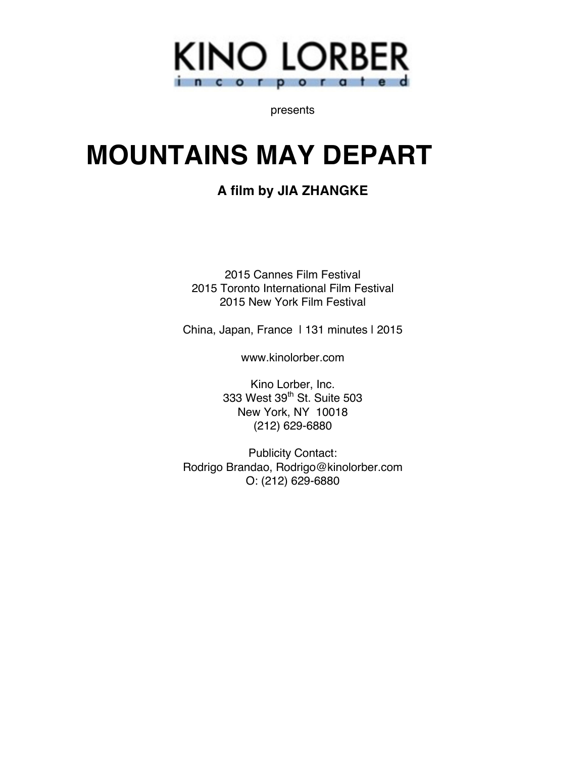

presents

## **MOUNTAINS MAY DEPART**

### **A film by JIA ZHANGKE**

2015 Cannes Film Festival 2015 Toronto International Film Festival 2015 New York Film Festival

China, Japan, France | 131 minutes | 2015

www.kinolorber.com

Kino Lorber, Inc. 333 West 39<sup>th</sup> St. Suite 503 New York, NY 10018 (212) 629-6880

Publicity Contact: Rodrigo Brandao, Rodrigo@kinolorber.com O: (212) 629-6880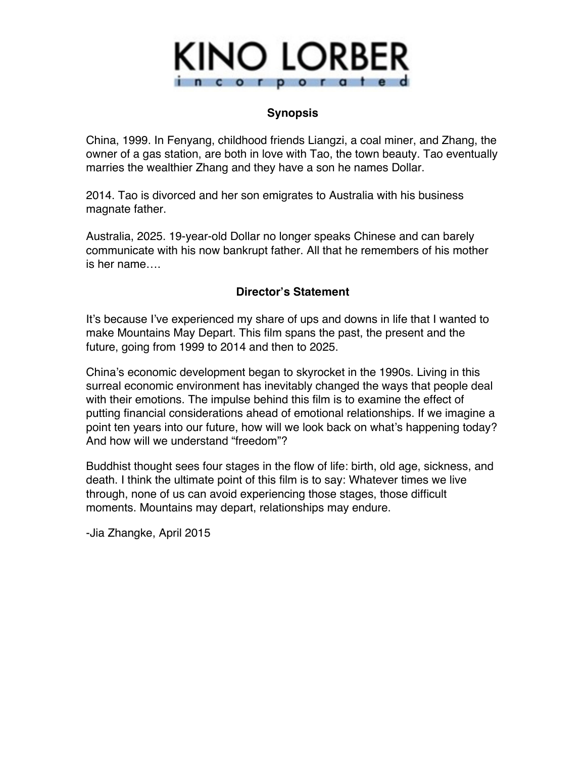

#### **Synopsis**

China, 1999. In Fenyang, childhood friends Liangzi, a coal miner, and Zhang, the owner of a gas station, are both in love with Tao, the town beauty. Tao eventually marries the wealthier Zhang and they have a son he names Dollar.

2014. Tao is divorced and her son emigrates to Australia with his business magnate father.

Australia, 2025. 19-year-old Dollar no longer speaks Chinese and can barely communicate with his now bankrupt father. All that he remembers of his mother is her name….

#### **Director's Statement**

It's because I've experienced my share of ups and downs in life that I wanted to make Mountains May Depart. This film spans the past, the present and the future, going from 1999 to 2014 and then to 2025.

China's economic development began to skyrocket in the 1990s. Living in this surreal economic environment has inevitably changed the ways that people deal with their emotions. The impulse behind this film is to examine the effect of putting financial considerations ahead of emotional relationships. If we imagine a point ten years into our future, how will we look back on what's happening today? And how will we understand "freedom"?

Buddhist thought sees four stages in the flow of life: birth, old age, sickness, and death. I think the ultimate point of this film is to say: Whatever times we live through, none of us can avoid experiencing those stages, those difficult moments. Mountains may depart, relationships may endure.

-Jia Zhangke, April 2015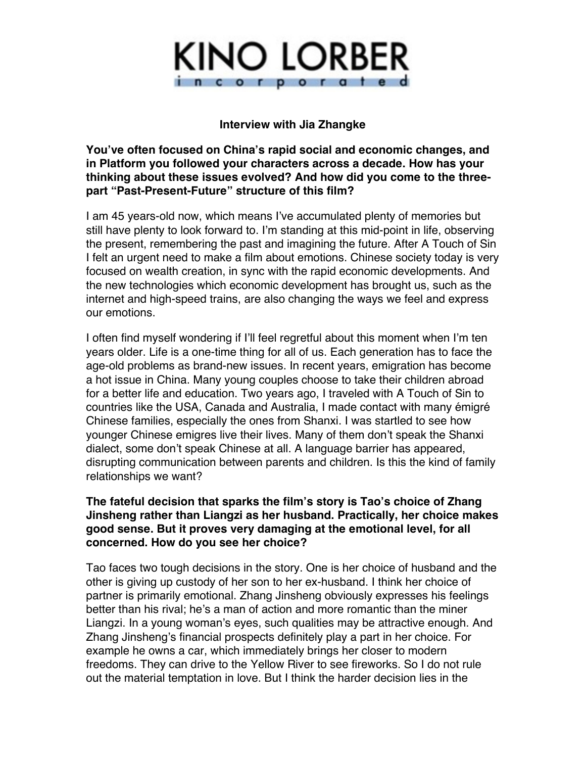

#### **Interview with Jia Zhangke**

**You've often focused on China's rapid social and economic changes, and in Platform you followed your characters across a decade. How has your thinking about these issues evolved? And how did you come to the threepart "Past-Present-Future" structure of this film?** 

I am 45 years-old now, which means I've accumulated plenty of memories but still have plenty to look forward to. I'm standing at this mid-point in life, observing the present, remembering the past and imagining the future. After A Touch of Sin I felt an urgent need to make a film about emotions. Chinese society today is very focused on wealth creation, in sync with the rapid economic developments. And the new technologies which economic development has brought us, such as the internet and high-speed trains, are also changing the ways we feel and express our emotions.

I often find myself wondering if I'll feel regretful about this moment when I'm ten years older. Life is a one-time thing for all of us. Each generation has to face the age-old problems as brand-new issues. In recent years, emigration has become a hot issue in China. Many young couples choose to take their children abroad for a better life and education. Two years ago, I traveled with A Touch of Sin to countries like the USA, Canada and Australia, I made contact with many émigré Chinese families, especially the ones from Shanxi. I was startled to see how younger Chinese emigres live their lives. Many of them don't speak the Shanxi dialect, some don't speak Chinese at all. A language barrier has appeared, disrupting communication between parents and children. Is this the kind of family relationships we want?

#### **The fateful decision that sparks the film's story is Tao's choice of Zhang Jinsheng rather than Liangzi as her husband. Practically, her choice makes good sense. But it proves very damaging at the emotional level, for all concerned. How do you see her choice?**

Tao faces two tough decisions in the story. One is her choice of husband and the other is giving up custody of her son to her ex-husband. I think her choice of partner is primarily emotional. Zhang Jinsheng obviously expresses his feelings better than his rival; he's a man of action and more romantic than the miner Liangzi. In a young woman's eyes, such qualities may be attractive enough. And Zhang Jinsheng's financial prospects definitely play a part in her choice. For example he owns a car, which immediately brings her closer to modern freedoms. They can drive to the Yellow River to see fireworks. So I do not rule out the material temptation in love. But I think the harder decision lies in the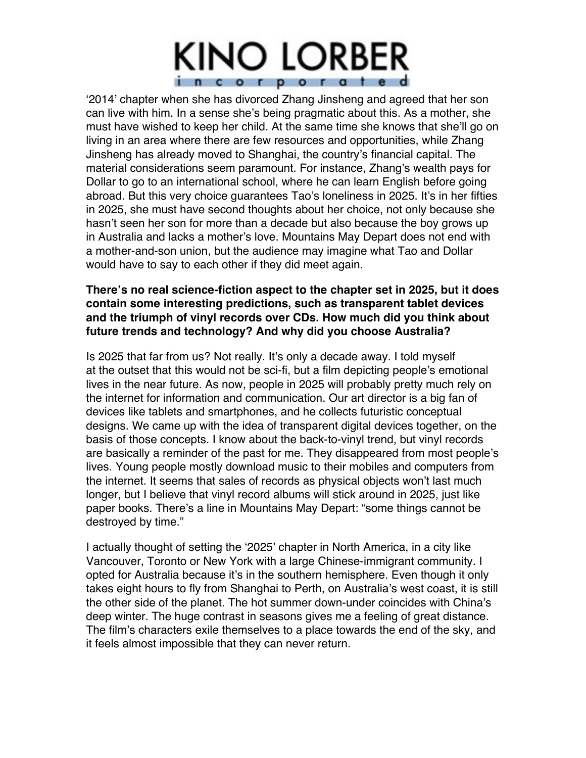## **KINO LORBER** incorporated

'2014' chapter when she has divorced Zhang Jinsheng and agreed that her son can live with him. In a sense she's being pragmatic about this. As a mother, she must have wished to keep her child. At the same time she knows that she'll go on living in an area where there are few resources and opportunities, while Zhang Jinsheng has already moved to Shanghai, the country's financial capital. The material considerations seem paramount. For instance, Zhang's wealth pays for Dollar to go to an international school, where he can learn English before going abroad. But this very choice guarantees Tao's loneliness in 2025. It's in her fifties in 2025, she must have second thoughts about her choice, not only because she hasn't seen her son for more than a decade but also because the boy grows up in Australia and lacks a mother's love. Mountains May Depart does not end with a mother-and-son union, but the audience may imagine what Tao and Dollar would have to say to each other if they did meet again.

#### **There's no real science-fiction aspect to the chapter set in 2025, but it does contain some interesting predictions, such as transparent tablet devices and the triumph of vinyl records over CDs. How much did you think about future trends and technology? And why did you choose Australia?**

Is 2025 that far from us? Not really. It's only a decade away. I told myself at the outset that this would not be sci-fi, but a film depicting people's emotional lives in the near future. As now, people in 2025 will probably pretty much rely on the internet for information and communication. Our art director is a big fan of devices like tablets and smartphones, and he collects futuristic conceptual designs. We came up with the idea of transparent digital devices together, on the basis of those concepts. I know about the back-to-vinyl trend, but vinyl records are basically a reminder of the past for me. They disappeared from most people's lives. Young people mostly download music to their mobiles and computers from the internet. It seems that sales of records as physical objects won't last much longer, but I believe that vinyl record albums will stick around in 2025, just like paper books. There's a line in Mountains May Depart: "some things cannot be destroyed by time."

I actually thought of setting the '2025' chapter in North America, in a city like Vancouver, Toronto or New York with a large Chinese-immigrant community. I opted for Australia because it's in the southern hemisphere. Even though it only takes eight hours to fly from Shanghai to Perth, on Australia's west coast, it is still the other side of the planet. The hot summer down-under coincides with China's deep winter. The huge contrast in seasons gives me a feeling of great distance. The film's characters exile themselves to a place towards the end of the sky, and it feels almost impossible that they can never return.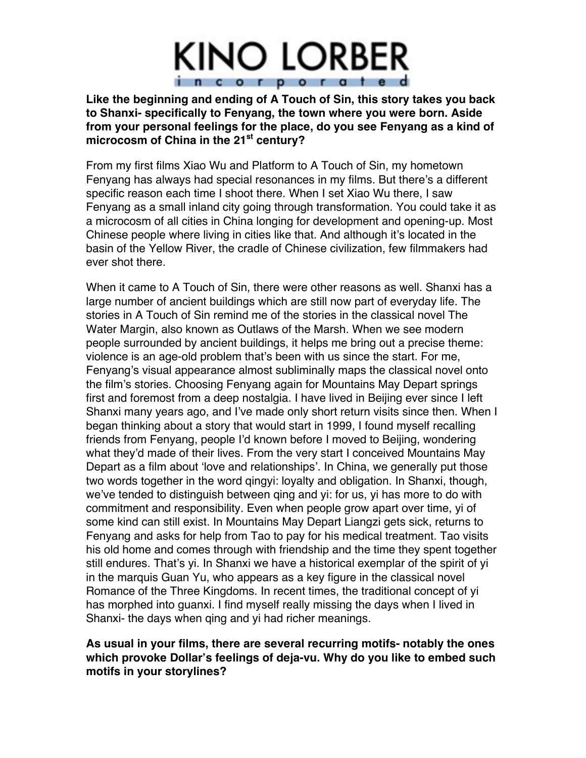

**Like the beginning and ending of A Touch of Sin, this story takes you back to Shanxi- specifically to Fenyang, the town where you were born. Aside from your personal feelings for the place, do you see Fenyang as a kind of microcosm of China in the 21st century?** 

From my first films Xiao Wu and Platform to A Touch of Sin, my hometown Fenyang has always had special resonances in my films. But there's a different specific reason each time I shoot there. When I set Xiao Wu there, I saw Fenyang as a small inland city going through transformation. You could take it as a microcosm of all cities in China longing for development and opening-up. Most Chinese people where living in cities like that. And although it's located in the basin of the Yellow River, the cradle of Chinese civilization, few filmmakers had ever shot there.

When it came to A Touch of Sin, there were other reasons as well. Shanxi has a large number of ancient buildings which are still now part of everyday life. The stories in A Touch of Sin remind me of the stories in the classical novel The Water Margin, also known as Outlaws of the Marsh. When we see modern people surrounded by ancient buildings, it helps me bring out a precise theme: violence is an age-old problem that's been with us since the start. For me, Fenyang's visual appearance almost subliminally maps the classical novel onto the film's stories. Choosing Fenyang again for Mountains May Depart springs first and foremost from a deep nostalgia. I have lived in Beijing ever since I left Shanxi many years ago, and I've made only short return visits since then. When I began thinking about a story that would start in 1999, I found myself recalling friends from Fenyang, people I'd known before I moved to Beijing, wondering what they'd made of their lives. From the very start I conceived Mountains May Depart as a film about 'love and relationships'. In China, we generally put those two words together in the word qingyi: loyalty and obligation. In Shanxi, though, we've tended to distinguish between qing and yi: for us, yi has more to do with commitment and responsibility. Even when people grow apart over time, yi of some kind can still exist. In Mountains May Depart Liangzi gets sick, returns to Fenyang and asks for help from Tao to pay for his medical treatment. Tao visits his old home and comes through with friendship and the time they spent together still endures. That's yi. In Shanxi we have a historical exemplar of the spirit of yi in the marquis Guan Yu, who appears as a key figure in the classical novel Romance of the Three Kingdoms. In recent times, the traditional concept of yi has morphed into guanxi. I find myself really missing the days when I lived in Shanxi- the days when qing and yi had richer meanings.

#### **As usual in your films, there are several recurring motifs- notably the ones which provoke Dollar's feelings of deja-vu. Why do you like to embed such motifs in your storylines?**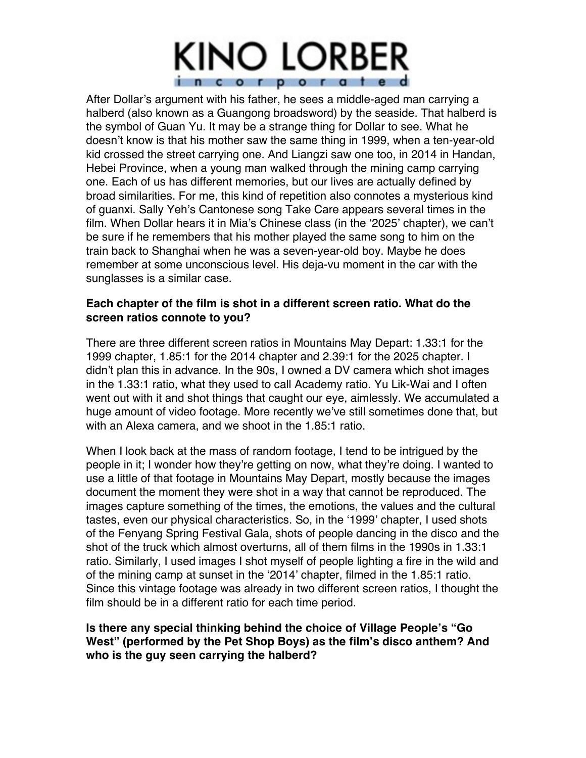## **KINO LORBER** incorporated

After Dollar's argument with his father, he sees a middle-aged man carrying a halberd (also known as a Guangong broadsword) by the seaside. That halberd is the symbol of Guan Yu. It may be a strange thing for Dollar to see. What he doesn't know is that his mother saw the same thing in 1999, when a ten-year-old kid crossed the street carrying one. And Liangzi saw one too, in 2014 in Handan, Hebei Province, when a young man walked through the mining camp carrying one. Each of us has different memories, but our lives are actually defined by broad similarities. For me, this kind of repetition also connotes a mysterious kind of guanxi. Sally Yeh's Cantonese song Take Care appears several times in the film. When Dollar hears it in Mia's Chinese class (in the '2025' chapter), we can't be sure if he remembers that his mother played the same song to him on the train back to Shanghai when he was a seven-year-old boy. Maybe he does remember at some unconscious level. His deja-vu moment in the car with the sunglasses is a similar case.

#### **Each chapter of the film is shot in a different screen ratio. What do the screen ratios connote to you?**

There are three different screen ratios in Mountains May Depart: 1.33:1 for the 1999 chapter, 1.85:1 for the 2014 chapter and 2.39:1 for the 2025 chapter. I didn't plan this in advance. In the 90s, I owned a DV camera which shot images in the 1.33:1 ratio, what they used to call Academy ratio. Yu Lik-Wai and I often went out with it and shot things that caught our eye, aimlessly. We accumulated a huge amount of video footage. More recently we've still sometimes done that, but with an Alexa camera, and we shoot in the 1.85:1 ratio.

When I look back at the mass of random footage, I tend to be intrigued by the people in it; I wonder how they're getting on now, what they're doing. I wanted to use a little of that footage in Mountains May Depart, mostly because the images document the moment they were shot in a way that cannot be reproduced. The images capture something of the times, the emotions, the values and the cultural tastes, even our physical characteristics. So, in the '1999' chapter, I used shots of the Fenyang Spring Festival Gala, shots of people dancing in the disco and the shot of the truck which almost overturns, all of them films in the 1990s in 1.33:1 ratio. Similarly, I used images I shot myself of people lighting a fire in the wild and of the mining camp at sunset in the '2014' chapter, filmed in the 1.85:1 ratio. Since this vintage footage was already in two different screen ratios, I thought the film should be in a different ratio for each time period.

#### **Is there any special thinking behind the choice of Village People's "Go West" (performed by the Pet Shop Boys) as the film's disco anthem? And who is the guy seen carrying the halberd?**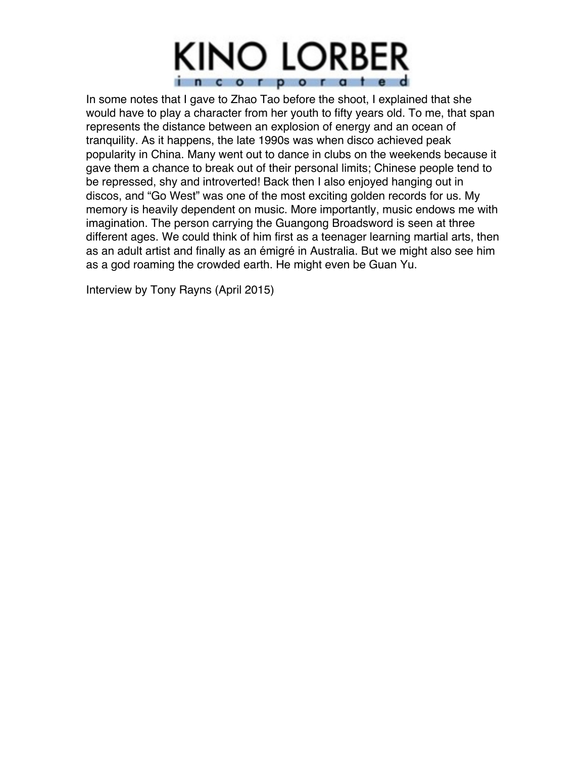## **KINO LORBER** incorporated

In some notes that I gave to Zhao Tao before the shoot, I explained that she would have to play a character from her youth to fifty years old. To me, that span represents the distance between an explosion of energy and an ocean of tranquility. As it happens, the late 1990s was when disco achieved peak popularity in China. Many went out to dance in clubs on the weekends because it gave them a chance to break out of their personal limits; Chinese people tend to be repressed, shy and introverted! Back then I also enjoyed hanging out in discos, and "Go West" was one of the most exciting golden records for us. My memory is heavily dependent on music. More importantly, music endows me with imagination. The person carrying the Guangong Broadsword is seen at three different ages. We could think of him first as a teenager learning martial arts, then as an adult artist and finally as an émigré in Australia. But we might also see him as a god roaming the crowded earth. He might even be Guan Yu.

Interview by Tony Rayns (April 2015)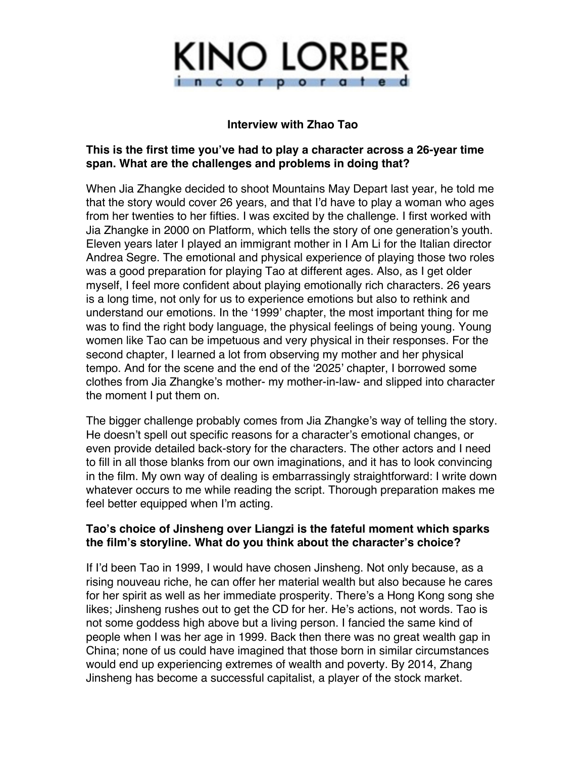

#### **Interview with Zhao Tao**

#### **This is the first time you've had to play a character across a 26-year time span. What are the challenges and problems in doing that?**

When Jia Zhangke decided to shoot Mountains May Depart last year, he told me that the story would cover 26 years, and that I'd have to play a woman who ages from her twenties to her fifties. I was excited by the challenge. I first worked with Jia Zhangke in 2000 on Platform, which tells the story of one generation's youth. Eleven years later I played an immigrant mother in I Am Li for the Italian director Andrea Segre. The emotional and physical experience of playing those two roles was a good preparation for playing Tao at different ages. Also, as I get older myself, I feel more confident about playing emotionally rich characters. 26 years is a long time, not only for us to experience emotions but also to rethink and understand our emotions. In the '1999' chapter, the most important thing for me was to find the right body language, the physical feelings of being young. Young women like Tao can be impetuous and very physical in their responses. For the second chapter, I learned a lot from observing my mother and her physical tempo. And for the scene and the end of the '2025' chapter, I borrowed some clothes from Jia Zhangke's mother- my mother-in-law- and slipped into character the moment I put them on.

The bigger challenge probably comes from Jia Zhangke's way of telling the story. He doesn't spell out specific reasons for a character's emotional changes, or even provide detailed back-story for the characters. The other actors and I need to fill in all those blanks from our own imaginations, and it has to look convincing in the film. My own way of dealing is embarrassingly straightforward: I write down whatever occurs to me while reading the script. Thorough preparation makes me feel better equipped when I'm acting.

#### **Tao's choice of Jinsheng over Liangzi is the fateful moment which sparks the film's storyline. What do you think about the character's choice?**

If I'd been Tao in 1999, I would have chosen Jinsheng. Not only because, as a rising nouveau riche, he can offer her material wealth but also because he cares for her spirit as well as her immediate prosperity. There's a Hong Kong song she likes; Jinsheng rushes out to get the CD for her. He's actions, not words. Tao is not some goddess high above but a living person. I fancied the same kind of people when I was her age in 1999. Back then there was no great wealth gap in China; none of us could have imagined that those born in similar circumstances would end up experiencing extremes of wealth and poverty. By 2014, Zhang Jinsheng has become a successful capitalist, a player of the stock market.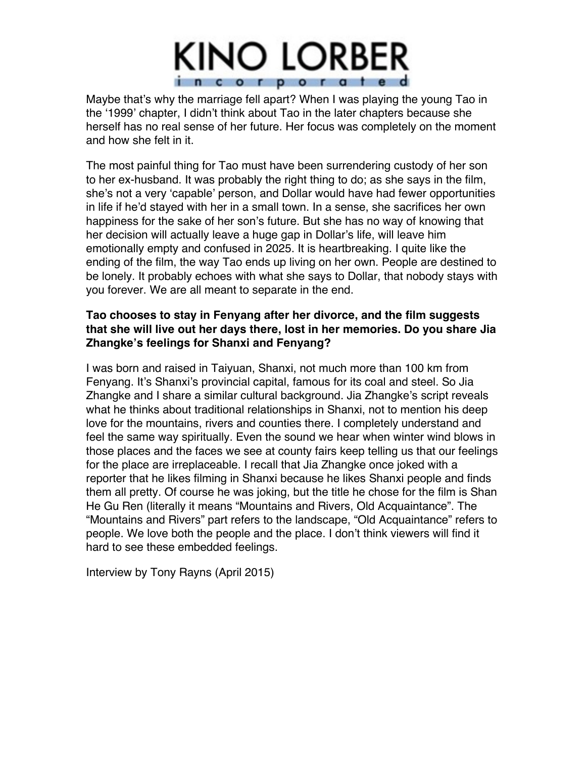

Maybe that's why the marriage fell apart? When I was playing the young Tao in the '1999' chapter, I didn't think about Tao in the later chapters because she herself has no real sense of her future. Her focus was completely on the moment and how she felt in it.

The most painful thing for Tao must have been surrendering custody of her son to her ex-husband. It was probably the right thing to do; as she says in the film, she's not a very 'capable' person, and Dollar would have had fewer opportunities in life if he'd stayed with her in a small town. In a sense, she sacrifices her own happiness for the sake of her son's future. But she has no way of knowing that her decision will actually leave a huge gap in Dollar's life, will leave him emotionally empty and confused in 2025. It is heartbreaking. I quite like the ending of the film, the way Tao ends up living on her own. People are destined to be lonely. It probably echoes with what she says to Dollar, that nobody stays with you forever. We are all meant to separate in the end.

#### **Tao chooses to stay in Fenyang after her divorce, and the film suggests that she will live out her days there, lost in her memories. Do you share Jia Zhangke's feelings for Shanxi and Fenyang?**

I was born and raised in Taiyuan, Shanxi, not much more than 100 km from Fenyang. It's Shanxi's provincial capital, famous for its coal and steel. So Jia Zhangke and I share a similar cultural background. Jia Zhangke's script reveals what he thinks about traditional relationships in Shanxi, not to mention his deep love for the mountains, rivers and counties there. I completely understand and feel the same way spiritually. Even the sound we hear when winter wind blows in those places and the faces we see at county fairs keep telling us that our feelings for the place are irreplaceable. I recall that Jia Zhangke once joked with a reporter that he likes filming in Shanxi because he likes Shanxi people and finds them all pretty. Of course he was joking, but the title he chose for the film is Shan He Gu Ren (literally it means "Mountains and Rivers, Old Acquaintance". The "Mountains and Rivers" part refers to the landscape, "Old Acquaintance" refers to people. We love both the people and the place. I don't think viewers will find it hard to see these embedded feelings.

Interview by Tony Rayns (April 2015)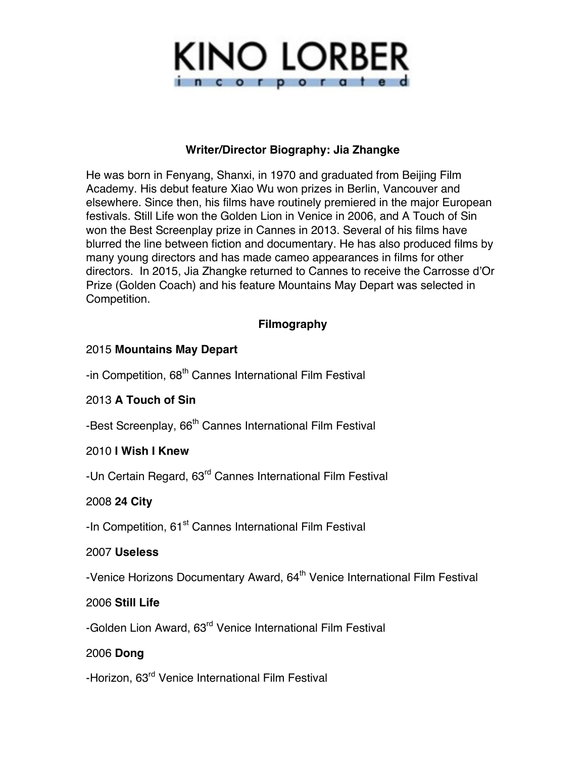

#### **Writer/Director Biography: Jia Zhangke**

He was born in Fenyang, Shanxi, in 1970 and graduated from Beijing Film Academy. His debut feature Xiao Wu won prizes in Berlin, Vancouver and elsewhere. Since then, his films have routinely premiered in the major European festivals. Still Life won the Golden Lion in Venice in 2006, and A Touch of Sin won the Best Screenplay prize in Cannes in 2013. Several of his films have blurred the line between fiction and documentary. He has also produced films by many young directors and has made cameo appearances in films for other directors. In 2015, Jia Zhangke returned to Cannes to receive the Carrosse d'Or Prize (Golden Coach) and his feature Mountains May Depart was selected in Competition.

#### **Filmography**

#### 2015 **Mountains May Depart**

-in Competition, 68<sup>th</sup> Cannes International Film Festival

#### 2013 **A Touch of Sin**

-Best Screenplay, 66<sup>th</sup> Cannes International Film Festival

#### 2010 **I Wish I Knew**

-Un Certain Regard, 63<sup>rd</sup> Cannes International Film Festival

#### 2008 **24 City**

-In Competition, 61<sup>st</sup> Cannes International Film Festival

#### 2007 **Useless**

-Venice Horizons Documentary Award, 64<sup>th</sup> Venice International Film Festival

#### 2006 **Still Life**

-Golden Lion Award, 63<sup>rd</sup> Venice International Film Festival

#### 2006 **Dong**

-Horizon, 63<sup>rd</sup> Venice International Film Festival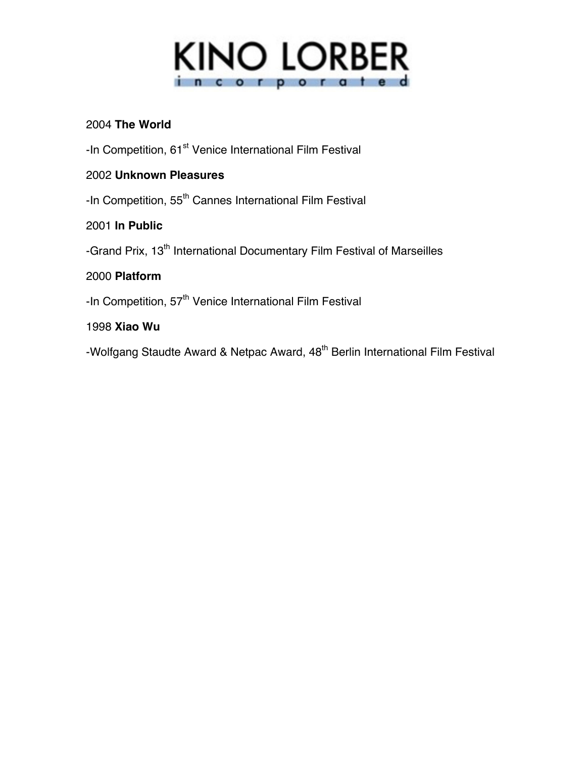

#### 2004 **The World**

-In Competition, 61<sup>st</sup> Venice International Film Festival

#### 2002 **Unknown Pleasures**

-In Competition, 55<sup>th</sup> Cannes International Film Festival

#### 2001 **In Public**

-Grand Prix, 13<sup>th</sup> International Documentary Film Festival of Marseilles

#### 2000 **Platform**

-In Competition, 57<sup>th</sup> Venice International Film Festival

#### 1998 **Xiao Wu**

-Wolfgang Staudte Award & Netpac Award, 48<sup>th</sup> Berlin International Film Festival